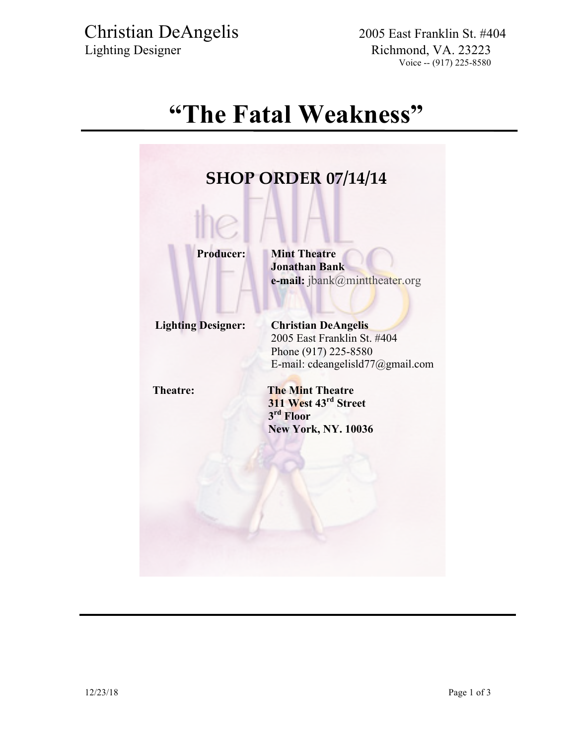Christian DeAngelis 2005 East Franklin St. #404 Lighting Designer Richmond, VA. 23223

## **"The Fatal Weakness"**

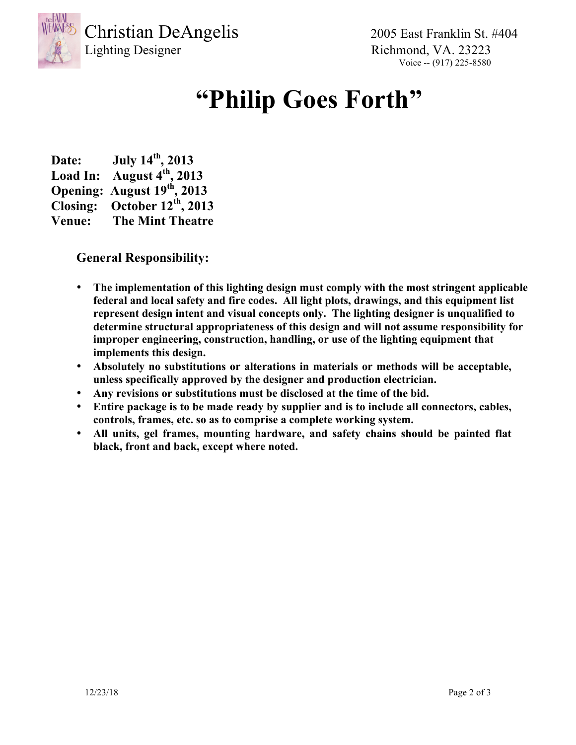

Christian DeAngelis 2005 East Franklin St. #404

Lighting Designer Richmond, VA. 23223 Voice -- (917) 225-8580

# **"Philip Goes Forth"**

**Date: July 14th, 2013 Load In: August 4th, 2013 Opening: August 19th, 2013 Closing: October 12th, 2013 Venue: The Mint Theatre**

### **General Responsibility:**

- **The implementation of this lighting design must comply with the most stringent applicable federal and local safety and fire codes. All light plots, drawings, and this equipment list represent design intent and visual concepts only. The lighting designer is unqualified to determine structural appropriateness of this design and will not assume responsibility for improper engineering, construction, handling, or use of the lighting equipment that implements this design.**
- **Absolutely no substitutions or alterations in materials or methods will be acceptable, unless specifically approved by the designer and production electrician.**
- **Any revisions or substitutions must be disclosed at the time of the bid.**
- **Entire package is to be made ready by supplier and is to include all connectors, cables, controls, frames, etc. so as to comprise a complete working system.**
- **All units, gel frames, mounting hardware, and safety chains should be painted flat black, front and back, except where noted.**